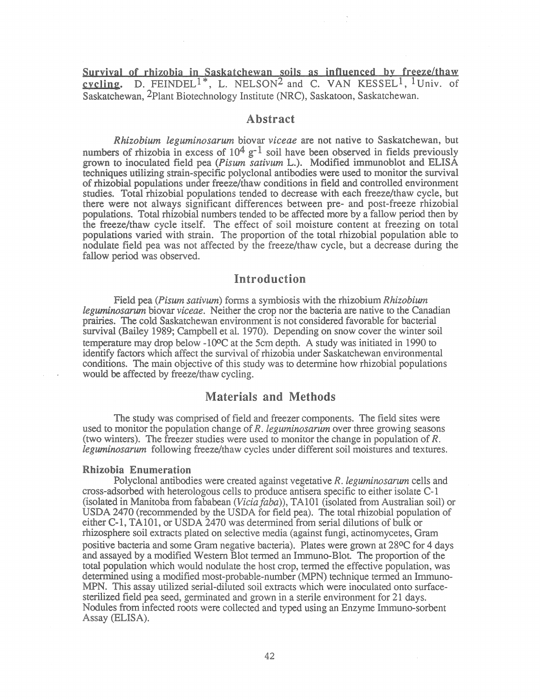Suryiyal of rhizobia in Saskatchewan soils as influenced by freeze/thaw cycling. D. FEINDEL<sup>1\*</sup>, L. NELSON<sup>2</sup> and C. VAN KESSEL<sup>1</sup>, <sup>1</sup>Univ. of Saskatchewan, 2Plant Biotechnology Institute (NRC), Saskatoon, Saskatchewan.

## Abstract

*Rhizobium leguminosarum* biovar *viceae* are not native to Saskatchewan, but numbers of rhizobia in excess of  $10^4$  g<sup>-1</sup> soil have been observed in fields previously grown to inoculated field pea *(Pisum sativum* L.). Modified immunoblot and ELISA techniques utilizing strain-specific polyclonal antibodies were used to monitor the survival of rhizobia! populations under freeze/thaw conditions in field and controlled environment studies. Total rhizobia! populations tended to decrease with each freeze/thaw cycle, but there were not always significant differences between pre- and post-freeze rhizobia! populations. Total rhizobial numbers tended to be affected more by a fallow period then by the freeze/thaw cycle itself. The effect of soil moisture content at freezing on total populations varied with strain. The proportion of the total rhizobia! population able to nodulate field pea was not affected by the freeze/thaw cycle, but a decrease during the fallow period was observed.

# Introduction

Field pea *(Pisum sativum)* forms a symbiosis with the rhizobium *Rhizobium leguminosarum* biovar *viceae.* Neither the crop nor the bacteria are native to the Canadian prairies. The cold Saskatchewan environment is not considered favorable for bacterial survival (Bailey 1989; Campbell et al. 1970). Depending on snow cover the winter soil temperature may drop below  $-10^{\circ}C$  at the 5cm depth. A study was initiated in 1990 to identify factors which affect the survival of rhizobia under Saskatchewan environmental conditions. The main objective of this study was to determine how rhizobial populations would be affected by freeze/thaw cycling.

## Materials and Methods

The study was comprised of field and freezer components. The field sites were used to monitor the population change of *R.leguminosarum* over three growing seasons (two winters). The freezer studies were used to monitor the change in population of *R. leguminosarum* following freeze/thaw cycles under different soil moistures and textures.

#### Rhizobia Enumeration

Polyclonal antibodies were created against vegetative *R. leguminosarum* cells and cross-adsorbed with heterologous cells to produce antisera specific to either isolate C-1 (isolated in Manitoba from fababean *(Viciafaba)),* TA101 (isolated from Australian soil) or USDA 2470 (recommended by the USDA for field pea). The total rhizobia! population of either C-1, TA101, or USDA 2470 was determined from serial dilutions of bulk or rhizosphere soil extracts plated on selective media (against fungi, actinomycetes, Gram positive bacteria and some Gram negative bacteria). Plates were grown at 28°C for 4 days and assayed by a modified Western Blot termed an Immuno-Blot. The proportion of the total population which would nodulate the host crop, termed the effective population, was determined using a modified most-probable-number (MPN) technique termed an Immuno-MPN. This assay utilized serial-diluted soil extracts which were inoculated onto surfacesterilized field pea seed, germinated and grown in a sterile environment for 21 days. Nodules from infected roots were collected and typed using an Enzyme Immuno-sorbent Assay (ELISA).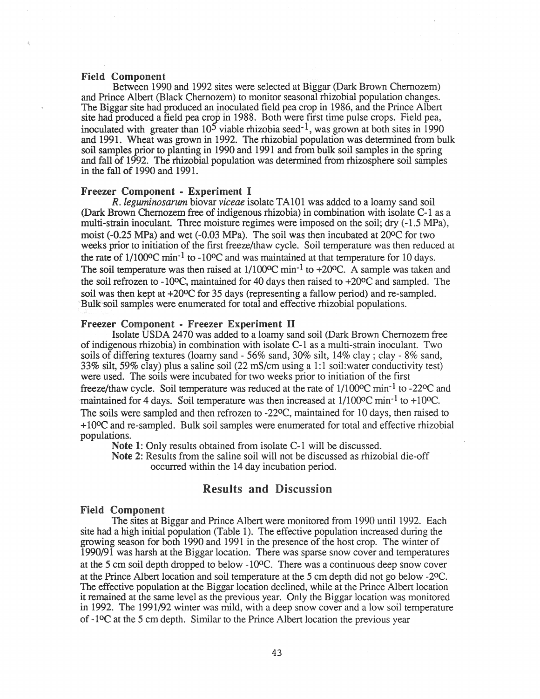Field Component<br>Between 1990 and 1992 sites were selected at Biggar (Dark Brown Chernozem) and Prince Albert (Black Chernozem) to monitor seasonal rhizobial population changes. The Biggar site had produced an inoculated field pea crop in 1986, and the Prince Albert site had produced a field pea crop in 1988. Both were first time pulse crops. Field pea, inoculated with greater than  $10^5$  viable rhizobia seed<sup>-1</sup>, was grown at both sites in 1990 and 1991. Wheat was grown in 1992. The rhizobial population was determined from bulk soil samples prior to planting in 1990 and 1991 and from bulk soil samples in the spring and fall of 1992. The rhizobial population was determined from rhizosphere soil samples in the fall of 1990 and 1991.

#### Freezer Component - Experiment I

*R. leguminosarum* biovar *viceae* isolate TA101 was added to a loamy sand soil (Dark Brown Chemozem free of indigenous rhizobia) in combination with isolate C-1 as a multi-strain inoculant. Three moisture regimes were imposed on the soil; dry ( -1.5 MPa), moist ( -0.25 MPa) and wet ( -0.03 MPa). The soil was then incubated at 200C for two weeks prior to initiation of the first freeze/thaw cycle. Soil temperature was then reduced at the rate of  $1/100^{\circ}\text{C min}^{-1}$  to  $-10^{\circ}\text{C}$  and was maintained at that temperature for 10 days. The soil temperature was then raised at  $1/100^{\circ}$ C min<sup>-1</sup> to +20 $^{\circ}$ C. A sample was taken and the soil refrozen to  $-10^{\circ}\text{C}$ , maintained for 40 days then raised to  $+20^{\circ}\text{C}$  and sampled. The soil was then kept at  $+20^{\circ}$ C for 35 days (representing a fallow period) and re-sampled. Bulk soil samples were enumerated for total and effective rhizobial populations.

## Freezer Component - Freezer Experiment II

Isolate USDA 2470 was added to a loamy sand soil (Dark Brown Chemozem free of indigenous rhizobia) in combination with isolate C-1 as a multi-strain inoculant. Two soils of differing textures (loamy sand- 56% sand, 30% silt, 14% clay; clay- 8% sand, 33% silt, 59% clay) plus a saline soil (22 mS/cm using a 1:1 soil:water conductivity test) were used. The soils were incubated for two weeks prior to initiation of the first freeze/thaw cycle. Soil temperature was reduced at the rate of  $1/100^{\circ}$ C min<sup>-1</sup> to -22<sup>o</sup>C and maintained for 4 days. Soil temperature was then increased at  $1/100^{\circ}$ C min<sup>-1</sup> to + $10^{\circ}$ C. The soils were sampled and then refrozen to -22<sup>o</sup>C, maintained for 10 days, then raised to +10<sup>o</sup>C and re-sampled. Bulk soil samples were enumerated for total and effective rhizobial populations.

Note 1: Only results obtained from isolate C-1 will be discussed.

Note 2: Results from the saline soil will not be discussed as rhizobial die-off occurred within the 14 day incubation period.

# Results and Discussion

#### Field Component

The sites at Biggar and Prince Albert were monitored from 1990 until 1992. Each site had a high initial population (Table 1). The effective population increased during the growing season for both 1990 and 1991 in the presence of the host crop. The winter of 1990/91 was harsh at the Biggar location. There was sparse snow cover and temperatures at the 5 cm soil depth dropped to below  $-10$ <sup>o</sup>C. There was a continuous deep snow cover at the Prince Albert location and soil temperature at the *5* em depth did not go below -2°C. The effective population at the Biggar location declined, while at the Prince Albert location it remained at the same level as the previous year. Only the Biggar location was monitored in 1992. The 1991/92 winter was mild, with a deep snow cover and a low soil temperature of  $-1$ <sup>o</sup>C at the 5 cm depth. Similar to the Prince Albert location the previous year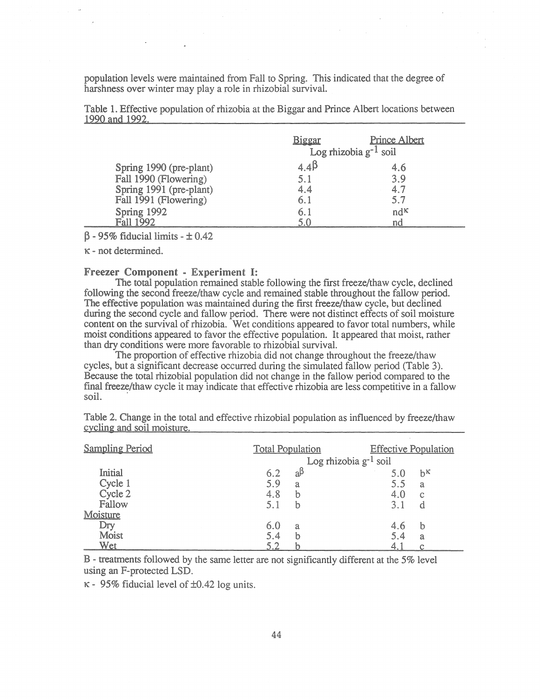population levels were maintained from Fall to Spring. This indicated that the degree of harshness over winter may play a role in rhizobial survival.

|                         | <b>Biggar</b> | <b>Prince Albert</b><br>Log rhizobia $g^{-1}$ soil |
|-------------------------|---------------|----------------------------------------------------|
| Spring 1990 (pre-plant) | 4.4 $\beta$   | 4.6                                                |
| Fall 1990 (Flowering)   | 5.1           | 3.9                                                |
| Spring 1991 (pre-plant) | 4.4           | 4.7                                                |
| Fall 1991 (Flowering)   | 6.1           | 5.7                                                |
| Spring 1992             | 6.1           | nd <sup>K</sup>                                    |
| Fall 1992               | 50            | nd                                                 |

Table 1. Effective population of rhizobia at the Biggar and Prince Albert locations between 1990 and 1992.

#### $\beta$  - 95% fiducial limits -  $\pm$  0.42

K - not determined.

### **Freezer Component - Experiment 1:**

The total population remained stable following the frrst freeze/thaw cycle, declined following the second freeze/thaw cycle and remained stable throughout the fallow period. The effective population was maintained during the first freeze/thaw cycle, but declined during the second cycle and fallow period. There were not distinct effects of soil moisture content on the survival of rhizobia. Wet conditions appeared to favor total numbers, while moist conditions appeared to favor the effective population. It appeared that moist, rather than dry conditions were more favorable to rhizobial survival.

The proportion of effective rhizobia did not change throughout the freeze/thaw cycles, but a significant decrease occurred during the simulated fallow period (Table 3). Because the total rhizobia! population did not change in the fallow period compared to the final freeze/thaw cycle it may indicate that effective rhizobia are less competitive in a fallow soil.

| <b>Sampling Period</b> | <b>Total Population</b>    |              | <b>Effective Population</b> |               |
|------------------------|----------------------------|--------------|-----------------------------|---------------|
|                        | Log rhizobia $g^{-1}$ soil |              |                             |               |
| Initial                | 6.2                        | $a^{\beta}$  | 5.0                         | $h^{\kappa}$  |
| Cycle 1                | 5.9                        | a            | 5.5                         | a             |
| Cycle 2                | 4.8                        | b            | 4.0                         | $\mathcal{C}$ |
| Fallow                 | 5.1                        | b            | 3.1                         | d             |
| Moisture               |                            |              |                             |               |
| Dry                    | 6.0                        | $\mathbf{a}$ | 4.6                         | h             |
| Moist                  | 5.4                        | b            | 5.4                         | a             |
| Wet                    | 5.2                        |              | 4.                          |               |

Table 2. Change in the total and effective rhizobial population as influenced by freeze/thaw cycling and soil moisture.

B - treatments followed by the same letter are not significantly different at the 5% level using an F-protected LSD.

 $\kappa$  - 95% fiducial level of  $\pm 0.42$  log units.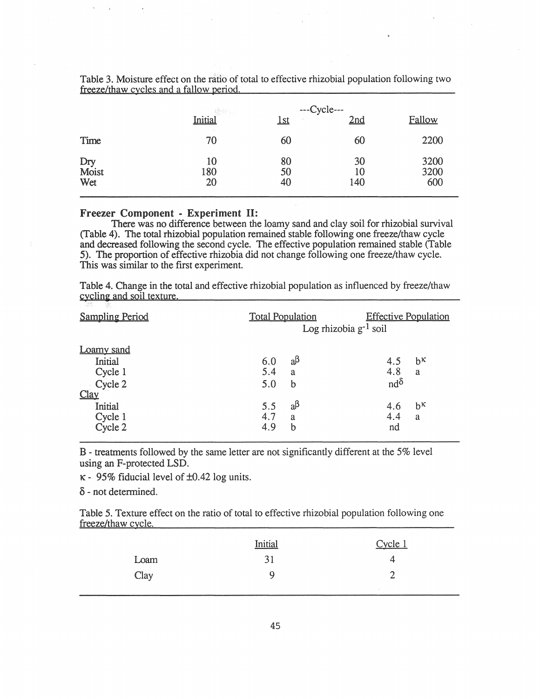|                     |                 | $-cycle--$     |                 |                     |
|---------------------|-----------------|----------------|-----------------|---------------------|
|                     | <b>Initial</b>  | 1st<br>$\sim$  | 2nd             | Fallow              |
| Time                | 70              | 60             | 60              | 2200                |
| Dry<br>Moist<br>Wet | 10<br>180<br>20 | 80<br>50<br>40 | 30<br>10<br>140 | 3200<br>3200<br>600 |

Table 3. Moisture effect on the ratio of total to effective rhizobial population following two freeze/thaw cycles and a fallow period.

## **Freezer Component - Experiment** II:

There was no difference between the loamy sand and clay soil for rhizobial survival (Table 4). The total rhizobial population remained stable following one freeze/thaw cycle and decreased following the second cycle. The effective population remained stable (Table 5). The proportion of effective rhizobia did not change following one freeze/thaw cycle. This was similar to the first experiment.

Table 4. Change in the total and effective rhizobial population as influenced by freeze/thaw cycline and soil texture.

| <b>Sampling Period</b> | <b>Total Population</b> | Log rhizobia $g^{-1}$ soil | <b>Effective Population</b> |              |
|------------------------|-------------------------|----------------------------|-----------------------------|--------------|
| <b>Loamy</b> sand      |                         |                            |                             |              |
| Initial                | 6.0                     | $a^{\beta}$                | 4.5                         | $b^{\kappa}$ |
| Cycle 1                | 5.4                     | a                          | 4.8                         | a            |
| Cycle 2                | 5.0                     | $\mathbf b$                | $\text{nd}^{\delta}$        |              |
| Clav                   |                         |                            |                             |              |
| Initial                | 5.5                     | $a^{\beta}$                | 4.6                         | $b^{\kappa}$ |
| Cycle 1                | 4.7                     | a                          | 4.4                         | a            |
| Cycle 2                | 4.9                     | $\mathbf b$                | nd                          |              |

B - treatments followed by the same letter are not significantly different at the 5% level using an F-protected LSD.

 $\kappa$  - 95% fiducial level of  $\pm 0.42$  log units.

S - not determined.

Table 5. Texture effect on the ratio of total to effective rhizobial population following one freeze/thaw cycle.

|      | Initial                 | Cycle 1<br><b>Contract Contract</b> |
|------|-------------------------|-------------------------------------|
| Loam | 31<br><b>Contractor</b> | 4                                   |
| Clay |                         | ×.                                  |